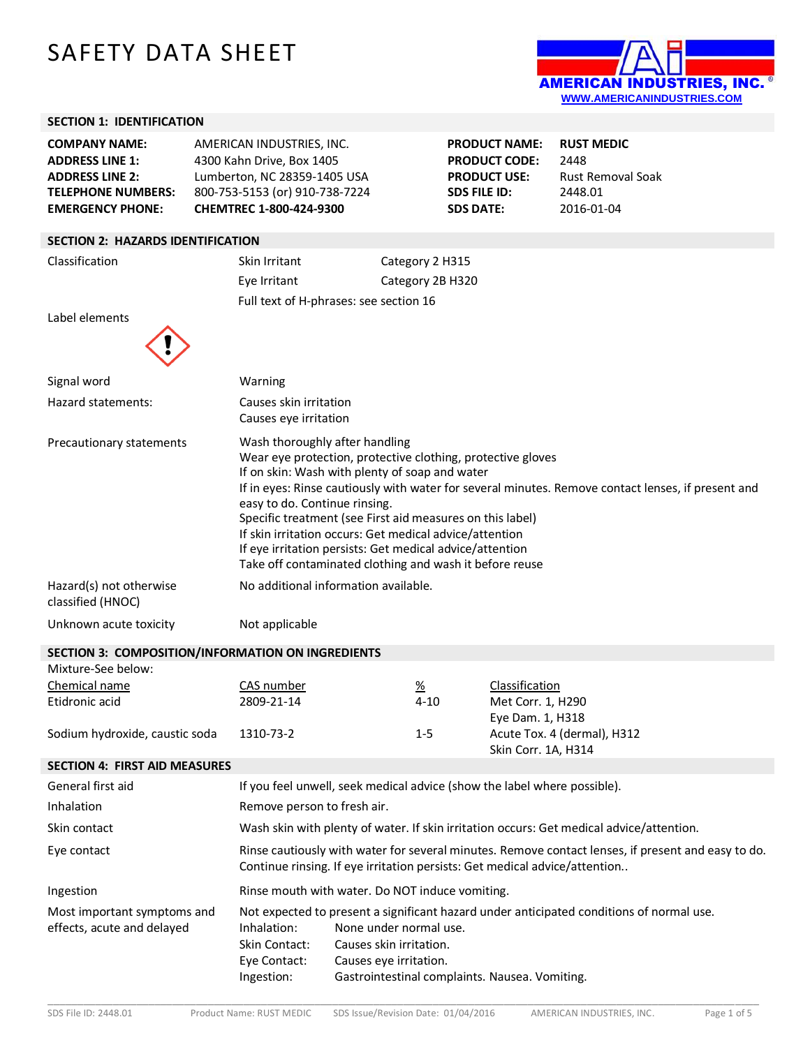# SAFETY DATA SHEET



**Rust Removal Soak** 

**PRODUCT NAME: RUST MEDIC**

**PRODUCT CODE:** 2448<br>**PRODUCT USE:** Rust

**SDS FILE ID:** 2448.01 **SDS DATE:** 2016-01-04

### **SECTION 1: IDENTIFICATION**

| <b>COMPANY NAME:</b>      | AMERICAN INDUSTRIES. INC.      |
|---------------------------|--------------------------------|
| <b>ADDRESS LINE 1:</b>    | 4300 Kahn Drive, Box 1405      |
| <b>ADDRESS LINE 2:</b>    | Lumberton, NC 28359-1405 USA   |
| <b>TELEPHONE NUMBERS:</b> | 800-753-5153 (or) 910-738-7224 |
| <b>EMERGENCY PHONE:</b>   | CHEMTREC 1-800-424-9300        |

#### **SECTION 2: HAZARDS IDENTIFICATION**

Classification Skin Irritant Category 2 H315 Eye Irritant Category 2B H320 Full text of H-phrases: see section 16

Label elements

| Signal word                                       | Warning                                                                                                                                                                                                                                                                                                                                                                                                                         |          |                                                                                                    |  |
|---------------------------------------------------|---------------------------------------------------------------------------------------------------------------------------------------------------------------------------------------------------------------------------------------------------------------------------------------------------------------------------------------------------------------------------------------------------------------------------------|----------|----------------------------------------------------------------------------------------------------|--|
| Hazard statements:                                | Causes skin irritation<br>Causes eye irritation                                                                                                                                                                                                                                                                                                                                                                                 |          |                                                                                                    |  |
| Precautionary statements                          | Wash thoroughly after handling<br>Wear eye protection, protective clothing, protective gloves<br>If on skin: Wash with plenty of soap and water<br>easy to do. Continue rinsing.<br>Specific treatment (see First aid measures on this label)<br>If skin irritation occurs: Get medical advice/attention<br>If eye irritation persists: Get medical advice/attention<br>Take off contaminated clothing and wash it before reuse |          | If in eyes: Rinse cautiously with water for several minutes. Remove contact lenses, if present and |  |
| Hazard(s) not otherwise<br>classified (HNOC)      | No additional information available.                                                                                                                                                                                                                                                                                                                                                                                            |          |                                                                                                    |  |
| Unknown acute toxicity                            | Not applicable                                                                                                                                                                                                                                                                                                                                                                                                                  |          |                                                                                                    |  |
| SECTION 3: COMPOSITION/INFORMATION ON INGREDIENTS |                                                                                                                                                                                                                                                                                                                                                                                                                                 |          |                                                                                                    |  |
| Mixture-See below:                                |                                                                                                                                                                                                                                                                                                                                                                                                                                 |          |                                                                                                    |  |
| Chemical name                                     | CAS number                                                                                                                                                                                                                                                                                                                                                                                                                      | <u>%</u> | Classification                                                                                     |  |
| Etidronic ocid                                    | วงก <b>ถ</b> ว1 1 <i>1</i>                                                                                                                                                                                                                                                                                                                                                                                                      | 11 O     | $M0 + C0$ rr 1 $H0$ 00                                                                             |  |

| CHEMILE HOME                   | unu uu ka  | <u>/u</u> | <u>udasintativn</u>         |
|--------------------------------|------------|-----------|-----------------------------|
| Etidronic acid                 | 2809-21-14 | 4-10      | Met Corr. 1, H290           |
|                                |            |           | Eye Dam. 1, H318            |
| Sodium hydroxide, caustic soda | 1310-73-2  | $1 - 5$   | Acute Tox. 4 (dermal), H312 |
|                                |            |           | Skin Corr. 1A, H314         |

## **SECTION 4: FIRST AID MEASURES**

| General first aid                                         | If you feel unwell, seek medical advice (show the label where possible).                                                                                                         |                                                                                                                                                                                                                           |  |
|-----------------------------------------------------------|----------------------------------------------------------------------------------------------------------------------------------------------------------------------------------|---------------------------------------------------------------------------------------------------------------------------------------------------------------------------------------------------------------------------|--|
| Inhalation                                                | Remove person to fresh air.                                                                                                                                                      |                                                                                                                                                                                                                           |  |
| Skin contact                                              |                                                                                                                                                                                  | Wash skin with plenty of water. If skin irritation occurs: Get medical advice/attention.                                                                                                                                  |  |
| Eye contact                                               | Rinse cautiously with water for several minutes. Remove contact lenses, if present and easy to do.<br>Continue rinsing. If eye irritation persists: Get medical advice/attention |                                                                                                                                                                                                                           |  |
| Ingestion                                                 |                                                                                                                                                                                  | Rinse mouth with water. Do NOT induce vomiting.                                                                                                                                                                           |  |
| Most important symptoms and<br>effects, acute and delayed | Inhalation:<br>Skin Contact:<br>Eye Contact:<br>Ingestion:                                                                                                                       | Not expected to present a significant hazard under anticipated conditions of normal use.<br>None under normal use.<br>Causes skin irritation.<br>Causes eye irritation.<br>Gastrointestinal complaints. Nausea. Vomiting. |  |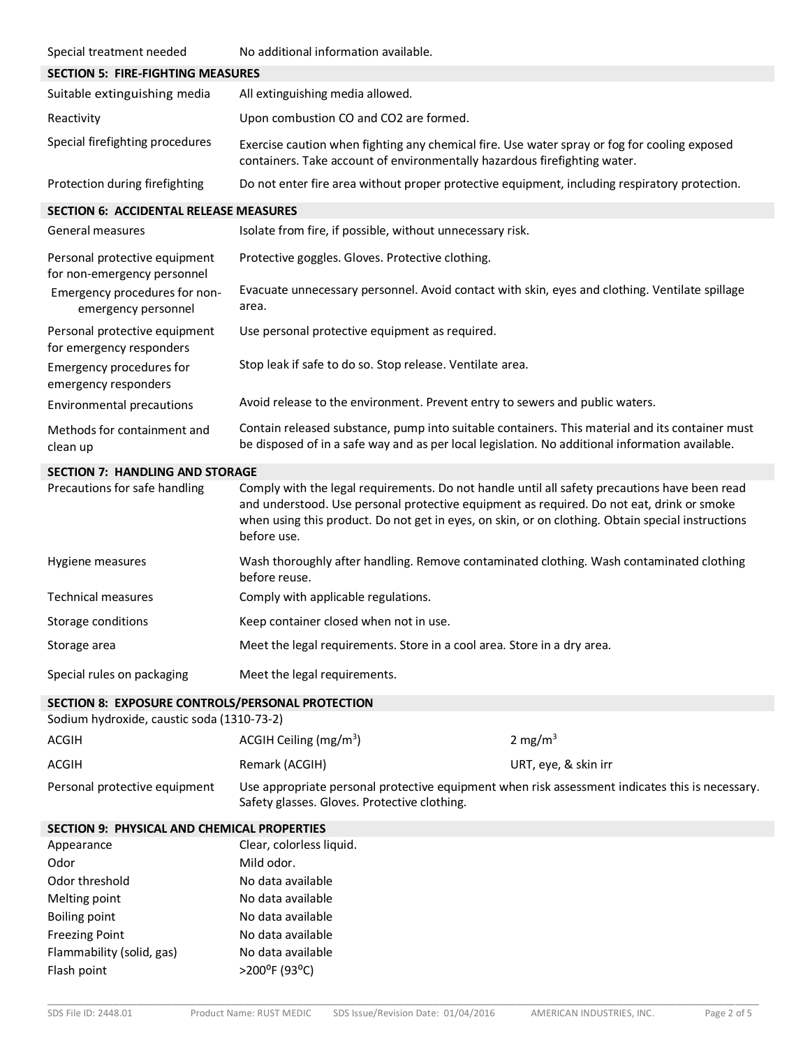| Special treatment needed                                                                       | No additional information available.                                                                                                                                                                                                                                                                           |                      |  |
|------------------------------------------------------------------------------------------------|----------------------------------------------------------------------------------------------------------------------------------------------------------------------------------------------------------------------------------------------------------------------------------------------------------------|----------------------|--|
| <b>SECTION 5: FIRE-FIGHTING MEASURES</b>                                                       |                                                                                                                                                                                                                                                                                                                |                      |  |
| Suitable extinguishing media                                                                   | All extinguishing media allowed.                                                                                                                                                                                                                                                                               |                      |  |
| Reactivity                                                                                     | Upon combustion CO and CO2 are formed.                                                                                                                                                                                                                                                                         |                      |  |
| Special firefighting procedures                                                                | Exercise caution when fighting any chemical fire. Use water spray or fog for cooling exposed<br>containers. Take account of environmentally hazardous firefighting water.                                                                                                                                      |                      |  |
| Protection during firefighting                                                                 | Do not enter fire area without proper protective equipment, including respiratory protection.                                                                                                                                                                                                                  |                      |  |
| <b>SECTION 6: ACCIDENTAL RELEASE MEASURES</b>                                                  |                                                                                                                                                                                                                                                                                                                |                      |  |
| General measures                                                                               | Isolate from fire, if possible, without unnecessary risk.                                                                                                                                                                                                                                                      |                      |  |
| Personal protective equipment<br>for non-emergency personnel                                   | Protective goggles. Gloves. Protective clothing.                                                                                                                                                                                                                                                               |                      |  |
| Emergency procedures for non-<br>emergency personnel                                           | Evacuate unnecessary personnel. Avoid contact with skin, eyes and clothing. Ventilate spillage<br>area.                                                                                                                                                                                                        |                      |  |
| Personal protective equipment<br>for emergency responders                                      | Use personal protective equipment as required.                                                                                                                                                                                                                                                                 |                      |  |
| Emergency procedures for<br>emergency responders                                               | Stop leak if safe to do so. Stop release. Ventilate area.                                                                                                                                                                                                                                                      |                      |  |
| Environmental precautions                                                                      | Avoid release to the environment. Prevent entry to sewers and public waters.                                                                                                                                                                                                                                   |                      |  |
| Methods for containment and<br>clean up                                                        | Contain released substance, pump into suitable containers. This material and its container must<br>be disposed of in a safe way and as per local legislation. No additional information available.                                                                                                             |                      |  |
| <b>SECTION 7: HANDLING AND STORAGE</b>                                                         |                                                                                                                                                                                                                                                                                                                |                      |  |
| Precautions for safe handling                                                                  | Comply with the legal requirements. Do not handle until all safety precautions have been read<br>and understood. Use personal protective equipment as required. Do not eat, drink or smoke<br>when using this product. Do not get in eyes, on skin, or on clothing. Obtain special instructions<br>before use. |                      |  |
| Hygiene measures                                                                               | Wash thoroughly after handling. Remove contaminated clothing. Wash contaminated clothing<br>before reuse.                                                                                                                                                                                                      |                      |  |
| <b>Technical measures</b>                                                                      | Comply with applicable regulations.                                                                                                                                                                                                                                                                            |                      |  |
| Storage conditions                                                                             | Keep container closed when not in use.                                                                                                                                                                                                                                                                         |                      |  |
| Storage area                                                                                   | Meet the legal requirements. Store in a cool area. Store in a dry area.                                                                                                                                                                                                                                        |                      |  |
| Special rules on packaging                                                                     | Meet the legal requirements.                                                                                                                                                                                                                                                                                   |                      |  |
| SECTION 8: EXPOSURE CONTROLS/PERSONAL PROTECTION<br>Sodium hydroxide, caustic soda (1310-73-2) |                                                                                                                                                                                                                                                                                                                |                      |  |
| <b>ACGIH</b>                                                                                   | ACGIH Ceiling ( $mg/m3$ )                                                                                                                                                                                                                                                                                      | 2 mg/m $3$           |  |
| <b>ACGIH</b>                                                                                   | Remark (ACGIH)                                                                                                                                                                                                                                                                                                 | URT, eye, & skin irr |  |
| Personal protective equipment                                                                  | Use appropriate personal protective equipment when risk assessment indicates this is necessary.<br>Safety glasses. Gloves. Protective clothing.                                                                                                                                                                |                      |  |
| SECTION 9: PHYSICAL AND CHEMICAL PROPERTIES                                                    |                                                                                                                                                                                                                                                                                                                |                      |  |
| Appearance                                                                                     | Clear, colorless liquid.                                                                                                                                                                                                                                                                                       |                      |  |
| Odor                                                                                           | Mild odor.                                                                                                                                                                                                                                                                                                     |                      |  |
| Odor threshold                                                                                 | No data available                                                                                                                                                                                                                                                                                              |                      |  |
| Melting point                                                                                  | No data available                                                                                                                                                                                                                                                                                              |                      |  |
| <b>Boiling point</b>                                                                           | No data available                                                                                                                                                                                                                                                                                              |                      |  |
| <b>Freezing Point</b>                                                                          | No data available                                                                                                                                                                                                                                                                                              |                      |  |
| Flammability (solid, gas)<br>Flash point                                                       | No data available<br>>200°F (93°C)                                                                                                                                                                                                                                                                             |                      |  |
|                                                                                                |                                                                                                                                                                                                                                                                                                                |                      |  |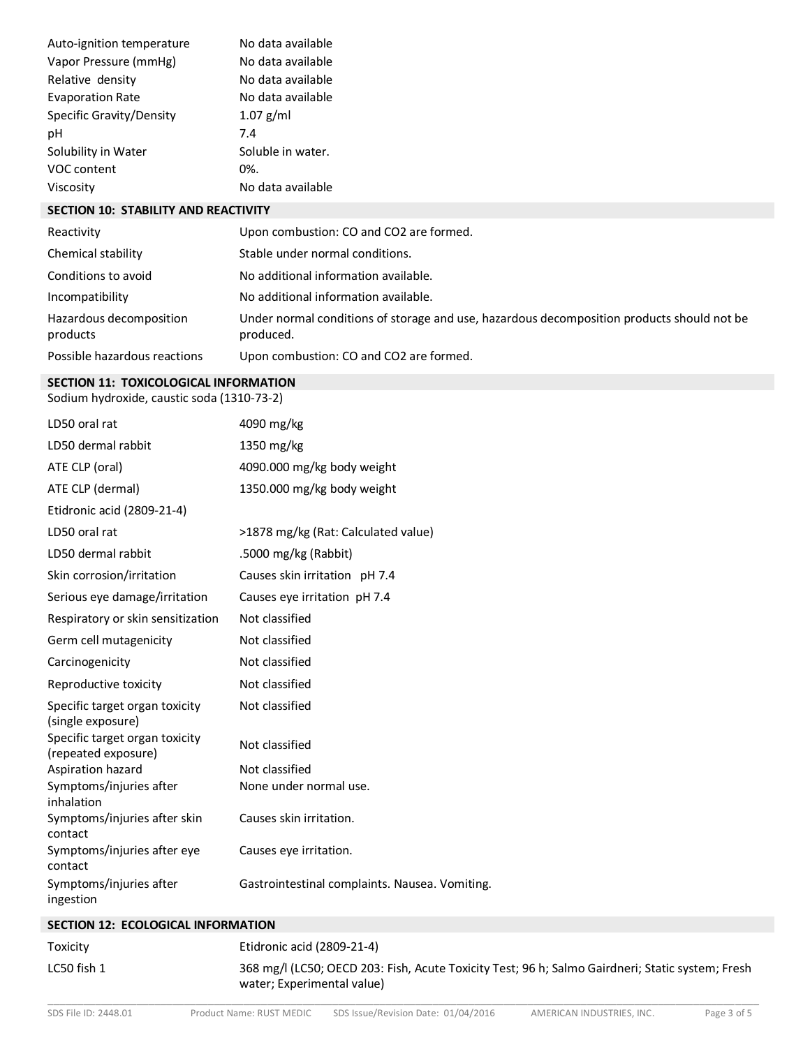| Auto-ignition temperature | No data available |
|---------------------------|-------------------|
| Vapor Pressure (mmHg)     | No data available |
| Relative density          | No data available |
| <b>Evaporation Rate</b>   | No data available |
| Specific Gravity/Density  | $1.07$ g/ml       |
| рH                        | 7.4               |
| Solubility in Water       | Soluble in water. |
| VOC content               | 0%.               |
| Viscosity                 | No data available |

#### **SECTION 10: STABILITY AND REACTIVITY**

| Reactivity                          | Upon combustion: CO and CO2 are formed.                                                                 |
|-------------------------------------|---------------------------------------------------------------------------------------------------------|
| Chemical stability                  | Stable under normal conditions.                                                                         |
| Conditions to avoid                 | No additional information available.                                                                    |
| Incompatibility                     | No additional information available.                                                                    |
| Hazardous decomposition<br>products | Under normal conditions of storage and use, hazardous decomposition products should not be<br>produced. |
| Possible hazardous reactions        | Upon combustion: CO and CO2 are formed.                                                                 |

#### **SECTION 11: TOXICOLOGICAL INFORMATION**

Sodium hydroxide, caustic soda (1310-73-2)

| LD50 oral rat                                         | 4090 mg/kg                                     |
|-------------------------------------------------------|------------------------------------------------|
| LD50 dermal rabbit                                    | 1350 mg/kg                                     |
| ATE CLP (oral)                                        | 4090.000 mg/kg body weight                     |
| ATE CLP (dermal)                                      | 1350.000 mg/kg body weight                     |
| Etidronic acid (2809-21-4)                            |                                                |
| LD50 oral rat                                         | >1878 mg/kg (Rat: Calculated value)            |
| LD50 dermal rabbit                                    | .5000 mg/kg (Rabbit)                           |
| Skin corrosion/irritation                             | Causes skin irritation pH 7.4                  |
| Serious eye damage/irritation                         | Causes eye irritation pH 7.4                   |
| Respiratory or skin sensitization                     | Not classified                                 |
| Germ cell mutagenicity                                | Not classified                                 |
| Carcinogenicity                                       | Not classified                                 |
| Reproductive toxicity                                 | Not classified                                 |
| Specific target organ toxicity<br>(single exposure)   | Not classified                                 |
| Specific target organ toxicity<br>(repeated exposure) | Not classified                                 |
| Aspiration hazard                                     | Not classified                                 |
| Symptoms/injuries after<br>inhalation                 | None under normal use.                         |
| Symptoms/injuries after skin<br>contact               | Causes skin irritation.                        |
| Symptoms/injuries after eye<br>contact                | Causes eye irritation.                         |
| Symptoms/injuries after<br>ingestion                  | Gastrointestinal complaints. Nausea. Vomiting. |

## **SECTION 12: ECOLOGICAL INFORMATION**

\_\_\_\_\_\_\_\_\_\_\_\_\_\_\_\_\_\_\_\_\_\_\_\_\_\_\_\_\_\_\_\_\_\_\_\_\_\_\_\_\_\_\_\_\_\_\_\_\_\_\_\_\_\_\_\_\_\_\_\_\_\_\_\_\_\_\_\_\_\_\_\_\_\_\_\_\_\_\_\_\_\_\_\_\_\_\_\_\_\_\_\_\_\_\_\_\_\_\_\_\_\_\_\_\_\_\_\_\_\_\_\_\_\_\_\_\_\_\_\_ Toxicity Etidronic acid (2809-21-4) LC50 fish 1 368 mg/l (LC50; OECD 203: Fish, Acute Toxicity Test; 96 h; Salmo Gairdneri; Static system; Fresh water; Experimental value)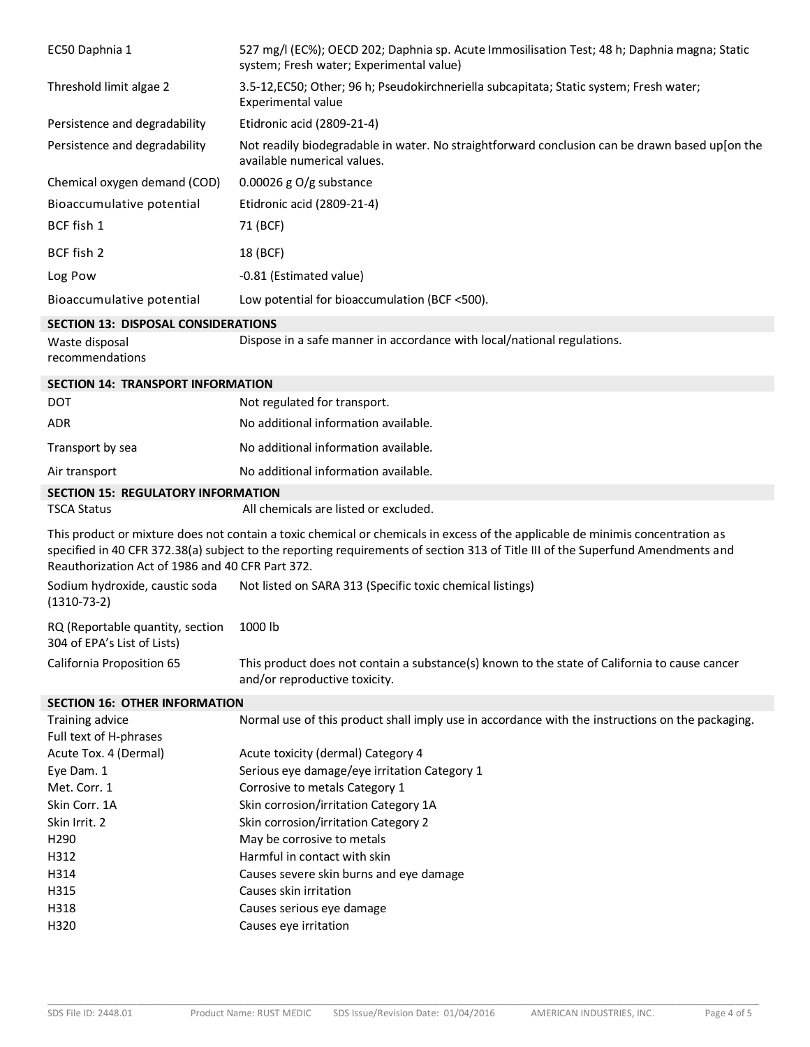| EC50 Daphnia 1                                                  | 527 mg/l (EC%); OECD 202; Daphnia sp. Acute Immosilisation Test; 48 h; Daphnia magna; Static<br>system; Fresh water; Experimental value)                                                                                                                          |
|-----------------------------------------------------------------|-------------------------------------------------------------------------------------------------------------------------------------------------------------------------------------------------------------------------------------------------------------------|
| Threshold limit algae 2                                         | 3.5-12, EC50; Other; 96 h; Pseudokirchneriella subcapitata; Static system; Fresh water;<br>Experimental value                                                                                                                                                     |
| Persistence and degradability                                   | Etidronic acid (2809-21-4)                                                                                                                                                                                                                                        |
| Persistence and degradability                                   | Not readily biodegradable in water. No straightforward conclusion can be drawn based up[on the<br>available numerical values.                                                                                                                                     |
| Chemical oxygen demand (COD)                                    | 0.00026 g $O/g$ substance                                                                                                                                                                                                                                         |
| Bioaccumulative potential                                       | Etidronic acid (2809-21-4)                                                                                                                                                                                                                                        |
| BCF fish 1                                                      | 71 (BCF)                                                                                                                                                                                                                                                          |
| BCF fish 2                                                      | 18 (BCF)                                                                                                                                                                                                                                                          |
| Log Pow                                                         | -0.81 (Estimated value)                                                                                                                                                                                                                                           |
| Bioaccumulative potential                                       | Low potential for bioaccumulation (BCF <500).                                                                                                                                                                                                                     |
| <b>SECTION 13: DISPOSAL CONSIDERATIONS</b>                      |                                                                                                                                                                                                                                                                   |
| Waste disposal<br>recommendations                               | Dispose in a safe manner in accordance with local/national regulations.                                                                                                                                                                                           |
| <b>SECTION 14: TRANSPORT INFORMATION</b>                        |                                                                                                                                                                                                                                                                   |
| <b>DOT</b>                                                      | Not regulated for transport.                                                                                                                                                                                                                                      |
| <b>ADR</b>                                                      | No additional information available.                                                                                                                                                                                                                              |
| Transport by sea                                                | No additional information available.                                                                                                                                                                                                                              |
| Air transport                                                   | No additional information available.                                                                                                                                                                                                                              |
| <b>SECTION 15: REGULATORY INFORMATION</b><br><b>TSCA Status</b> | All chemicals are listed or excluded.                                                                                                                                                                                                                             |
| Reauthorization Act of 1986 and 40 CFR Part 372.                | This product or mixture does not contain a toxic chemical or chemicals in excess of the applicable de minimis concentration as<br>specified in 40 CFR 372.38(a) subject to the reporting requirements of section 313 of Title III of the Superfund Amendments and |
| Sodium hydroxide, caustic soda<br>$(1310-73-2)$                 | Not listed on SARA 313 (Specific toxic chemical listings)                                                                                                                                                                                                         |
| RQ (Reportable quantity, section<br>304 of EPA's List of Lists) | 1000 lb                                                                                                                                                                                                                                                           |
| California Proposition 65                                       | This product does not contain a substance(s) known to the state of California to cause cancer<br>and/or reproductive toxicity.                                                                                                                                    |
| <b>SECTION 16: OTHER INFORMATION</b>                            |                                                                                                                                                                                                                                                                   |
| Training advice                                                 | Normal use of this product shall imply use in accordance with the instructions on the packaging.                                                                                                                                                                  |
| Full text of H-phrases                                          |                                                                                                                                                                                                                                                                   |
| Acute Tox. 4 (Dermal)<br>Eye Dam. 1                             | Acute toxicity (dermal) Category 4<br>Serious eye damage/eye irritation Category 1                                                                                                                                                                                |
| Met. Corr. 1                                                    | Corrosive to metals Category 1                                                                                                                                                                                                                                    |
| Skin Corr. 1A                                                   | Skin corrosion/irritation Category 1A                                                                                                                                                                                                                             |
| Skin Irrit. 2                                                   | Skin corrosion/irritation Category 2                                                                                                                                                                                                                              |
| H290                                                            | May be corrosive to metals                                                                                                                                                                                                                                        |
| H312                                                            | Harmful in contact with skin                                                                                                                                                                                                                                      |
| H314                                                            | Causes severe skin burns and eye damage                                                                                                                                                                                                                           |
| H315                                                            | Causes skin irritation                                                                                                                                                                                                                                            |
| H318                                                            | Causes serious eye damage                                                                                                                                                                                                                                         |
| H320                                                            | Causes eye irritation                                                                                                                                                                                                                                             |